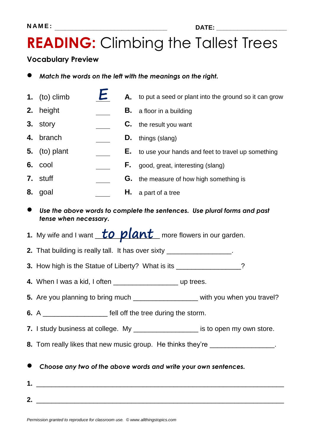## **READING:** Climbing the Tallest Trees

### **Vocabulary Preview**

- *Match the words on the left with the meanings on the right.*
- **1.** (to) climb **A.** to put a seed or plant into the ground so it can grow
- **2.** height **B.** a floor in a building
- **3.** story **C.** the result you want
- **4.** branch **D.** things (slang)
- **5.** (to) plant **E.** to use your hands and feet to travel up something
- **6.** cool **F.** good, great, interesting (slang)
- **7.** stuff **G.** the measure of how high something is
- **8.** goal **H.** a part of a tree
- *Use the above words to complete the sentences. Use plural forms and past tense when necessary.*
- **1.** My wife and I want **to plant** more flowers in our garden.
- **2.** That building is really tall. It has over sixty \_\_\_\_\_\_\_\_\_\_\_\_\_\_\_\_\_.
- **3.** How high is the Statue of Liberty? What is its \_\_\_\_\_\_\_\_\_\_\_\_\_\_\_\_?
- **4.** When I was a kid, I often **the contract of the UP trees.**
- **5.** Are you planning to bring much \_\_\_\_\_\_\_\_\_\_\_\_\_\_\_\_\_\_\_\_ with you when you travel?
- **6.** A \_\_\_\_\_\_\_\_\_\_\_\_\_\_\_\_\_ fell off the tree during the storm.
- **7.** I study business at college. My **with the state of the state is to open my own store.**
- **8.** Tom really likes that new music group. He thinks they're \_\_\_\_\_\_\_\_\_\_\_\_\_\_\_\_\_\_.
- *Choose any two of the above words and write your own sentences.*
- **1.** \_\_\_\_\_\_\_\_\_\_\_\_\_\_\_\_\_\_\_\_\_\_\_\_\_\_\_\_\_\_\_\_\_\_\_\_\_\_\_\_\_\_\_\_\_\_\_\_\_\_\_\_\_\_\_\_\_\_\_\_\_\_\_\_\_ **2.** \_\_\_\_\_\_\_\_\_\_\_\_\_\_\_\_\_\_\_\_\_\_\_\_\_\_\_\_\_\_\_\_\_\_\_\_\_\_\_\_\_\_\_\_\_\_\_\_\_\_\_\_\_\_\_\_\_\_\_\_\_\_\_\_\_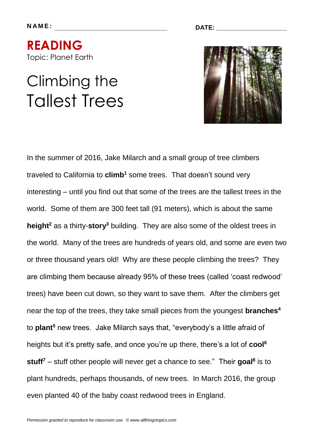**N A M E : \_\_\_\_\_\_\_\_\_\_\_\_\_\_\_\_\_\_\_\_\_\_\_\_\_\_\_\_\_\_\_\_ DATE: \_\_\_\_\_\_\_\_\_\_\_\_\_\_\_\_\_\_\_\_**

**READING**  Topic: Planet Earth

# Climbing the Tallest Trees



In the summer of 2016, Jake Milarch and a small group of tree climbers traveled to California to **climb<sup>1</sup>** some trees. That doesn't sound very interesting – until you find out that some of the trees are the tallest trees in the world. Some of them are 300 feet tall (91 meters), which is about the same **height<sup>2</sup>** as a thirty-**story<sup>3</sup>** building. They are also some of the oldest trees in the world. Many of the trees are hundreds of years old, and some are even two or three thousand years old! Why are these people climbing the trees? They are climbing them because already 95% of these trees (called 'coast redwood' trees) have been cut down, so they want to save them. After the climbers get near the top of the trees, they take small pieces from the youngest **branches<sup>4</sup>** to **plant<sup>5</sup>** new trees. Jake Milarch says that, "everybody's a little afraid of heights but it's pretty safe, and once you're up there, there's a lot of **cool<sup>6</sup> stuff<sup>7</sup>** – stuff other people will never get a chance to see." Their **goal<sup>8</sup>** is to plant hundreds, perhaps thousands, of new trees. In March 2016, the group even planted 40 of the baby coast redwood trees in England.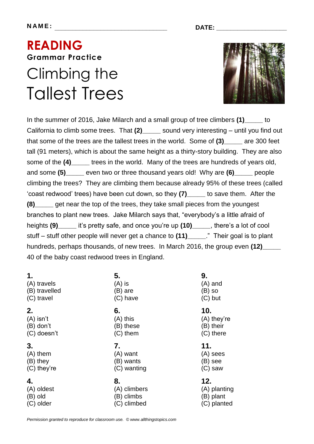### **READING Grammar Practice**  Climbing the Tallest Trees



In the summer of 2016, Jake Milarch and a small group of tree climbers **(1)\_\_\_\_\_** to California to climb some trees. That **(2)\_\_\_\_\_** sound very interesting – until you find out that some of the trees are the tallest trees in the world. Some of **(3)\_\_\_\_\_** are 300 feet tall (91 meters), which is about the same height as a thirty-story building. They are also some of the **(4)\_\_\_\_\_** trees in the world. Many of the trees are hundreds of years old, and some **(5)\_\_\_\_\_** even two or three thousand years old! Why are **(6)\_\_\_\_\_** people climbing the trees? They are climbing them because already 95% of these trees (called 'coast redwood' trees) have been cut down, so they **(7)\_\_\_\_\_** to save them. After the **(8)\_\_\_\_\_** get near the top of the trees, they take small pieces from the youngest branches to plant new trees. Jake Milarch says that, "everybody's a little afraid of heights **(9)\_\_\_\_\_** it's pretty safe, and once you're up **(10)\_\_\_\_\_**, there's a lot of cool stuff – stuff other people will never get a chance to **(11)\_\_\_\_\_**." Their goal is to plant hundreds, perhaps thousands, of new trees. In March 2016, the group even **(12)** 40 of the baby coast redwood trees in England.

| 1.            | 5.          | 9.          |
|---------------|-------------|-------------|
| (A) travels   | $(A)$ is    | $(A)$ and   |
| (B) travelled | (B) are     | (B) so      |
| (C) travel    | (C) have    | $(C)$ but   |
| 2.            | 6.          | 10.         |
| $(A)$ isn't   | $(A)$ this  | (A) they're |
| $(B)$ don't   | (B) these   | (B) their   |
| (C) doesn't   | $(C)$ them  | (C) there   |
|               |             |             |
| 3.            | 7.          | 11.         |
| (A) them      | (A) want    | (A) sees    |
| (B) they      | (B) wants   | (B) see     |
| (C) they're   | (C) wanting | $(C)$ saw   |

*Permission granted to reproduce for classroom use. © www.allthingstopics.com*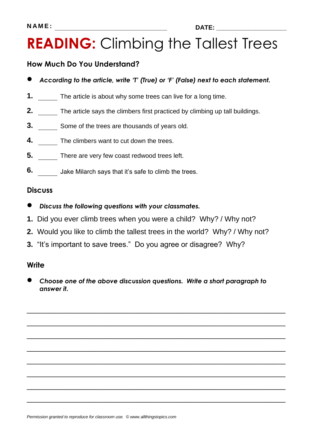## **READING:** Climbing the Tallest Trees

### **How Much Do You Understand?**

- *According to the article, write 'T' (True) or 'F' (False) next to each statement.*
- **1.** The article is about why some trees can live for a long time.
- **2.** The article says the climbers first practiced by climbing up tall buildings.
- **3.** Some of the trees are thousands of years old.
- **4.** The climbers want to cut down the trees.
- **5.** There are very few coast redwood trees left.
- **6.** Jake Milarch says that it's safe to climb the trees.

#### **Discuss**

- *Discuss the following questions with your classmates.*
- **1.** Did you ever climb trees when you were a child? Why? / Why not?
- **2.** Would you like to climb the tallest trees in the world? Why? / Why not?
- **3.** "It's important to save trees." Do you agree or disagree? Why?

#### **Write**

 *Choose one of the above discussion questions. Write a short paragraph to answer it.*

\_\_\_\_\_\_\_\_\_\_\_\_\_\_\_\_\_\_\_\_\_\_\_\_\_\_\_\_\_\_\_\_\_\_\_\_\_\_\_\_\_\_\_\_\_\_\_\_\_\_\_\_\_\_\_\_\_\_\_\_\_\_\_

\_\_\_\_\_\_\_\_\_\_\_\_\_\_\_\_\_\_\_\_\_\_\_\_\_\_\_\_\_\_\_\_\_\_\_\_\_\_\_\_\_\_\_\_\_\_\_\_\_\_\_\_\_\_\_\_\_\_\_\_\_\_\_

\_\_\_\_\_\_\_\_\_\_\_\_\_\_\_\_\_\_\_\_\_\_\_\_\_\_\_\_\_\_\_\_\_\_\_\_\_\_\_\_\_\_\_\_\_\_\_\_\_\_\_\_\_\_\_\_\_\_\_\_\_\_\_

\_\_\_\_\_\_\_\_\_\_\_\_\_\_\_\_\_\_\_\_\_\_\_\_\_\_\_\_\_\_\_\_\_\_\_\_\_\_\_\_\_\_\_\_\_\_\_\_\_\_\_\_\_\_\_\_\_\_\_\_\_\_\_

\_\_\_\_\_\_\_\_\_\_\_\_\_\_\_\_\_\_\_\_\_\_\_\_\_\_\_\_\_\_\_\_\_\_\_\_\_\_\_\_\_\_\_\_\_\_\_\_\_\_\_\_\_\_\_\_\_\_\_\_\_\_\_

\_\_\_\_\_\_\_\_\_\_\_\_\_\_\_\_\_\_\_\_\_\_\_\_\_\_\_\_\_\_\_\_\_\_\_\_\_\_\_\_\_\_\_\_\_\_\_\_\_\_\_\_\_\_\_\_\_\_\_\_\_\_\_

\_\_\_\_\_\_\_\_\_\_\_\_\_\_\_\_\_\_\_\_\_\_\_\_\_\_\_\_\_\_\_\_\_\_\_\_\_\_\_\_\_\_\_\_\_\_\_\_\_\_\_\_\_\_\_\_\_\_\_\_\_\_\_

\_\_\_\_\_\_\_\_\_\_\_\_\_\_\_\_\_\_\_\_\_\_\_\_\_\_\_\_\_\_\_\_\_\_\_\_\_\_\_\_\_\_\_\_\_\_\_\_\_\_\_\_\_\_\_\_\_\_\_\_\_\_\_

*Permission granted to reproduce for classroom use. © www.allthingstopics.com*